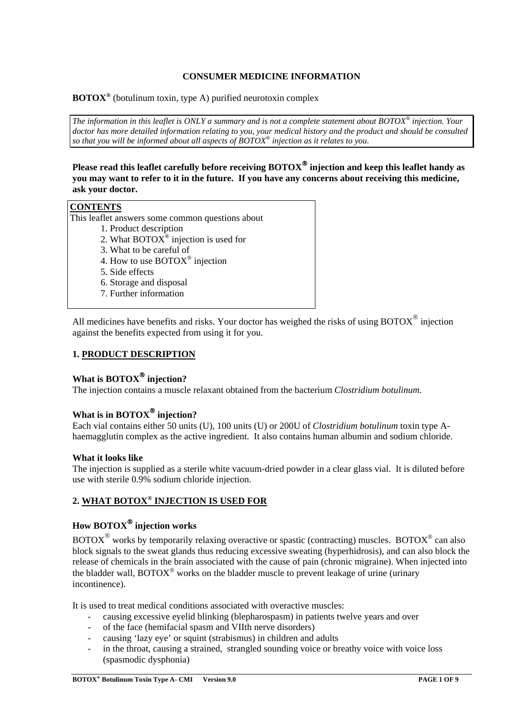## **CONSUMER MEDICINE INFORMATION**

**BOTOX®** (botulinum toxin, type A) purified neurotoxin complex

*The information in this leaflet is ONLY a summary and is not a complete statement about BOTOX® injection. Your*  doctor has more detailed information relating to you, your medical history and the product and should be consulted *so that you will be informed about all aspects of BOTOX® injection as it relates to you.* 

**Please read this leaflet carefully before receiving BOTOX injection and keep this leaflet handy as you may want to refer to it in the future. If you have any concerns about receiving this medicine, ask your doctor.** 

## **CONTENTS**

This leaflet answers some common questions about

- 1. Product description
- 2. What  $\text{BOTOX}^{\circledast}$  injection is used for
- 3. What to be careful of
- 4. How to use BOTOX® injection
- 5. Side effects
- 6. Storage and disposal
- 7. Further information

All medicines have benefits and risks. Your doctor has weighed the risks of using BOTOX $^{\circledR}$  injection against the benefits expected from using it for you.

## **1. PRODUCT DESCRIPTION**

## **What is BOTOX<sup>®</sup> injection?**

The injection contains a muscle relaxant obtained from the bacterium *Clostridium botulinum.*

## **What is in BOTOX<sup>®</sup> injection?**

Each vial contains either 50 units (U), 100 units (U) or 200U of *Clostridium botulinum* toxin type Ahaemagglutin complex as the active ingredient. It also contains human albumin and sodium chloride.

#### **What it looks like**

The injection is supplied as a sterile white vacuum-dried powder in a clear glass vial. It is diluted before use with sterile 0.9% sodium chloride injection.

# **2. WHAT BOTOX® INJECTION IS USED FOR**

# **How BOTOX injection works**

 $BOTOX^{\circledast}$  works by temporarily relaxing overactive or spastic (contracting) muscles. BOTOX<sup> $\circledast$ </sup> can also block signals to the sweat glands thus reducing excessive sweating (hyperhidrosis), and can also block the release of chemicals in the brain associated with the cause of pain (chronic migraine). When injected into the bladder wall,  $BOTOX^{\circledast}$  works on the bladder muscle to prevent leakage of urine (urinary incontinence).

It is used to treat medical conditions associated with overactive muscles:

- causing excessive eyelid blinking (blepharospasm) in patients twelve years and over
- of the face (hemifacial spasm and VIIth nerve disorders)
- causing 'lazy eye' or squint (strabismus) in children and adults
- in the throat, causing a strained, strangled sounding voice or breathy voice with voice loss (spasmodic dysphonia)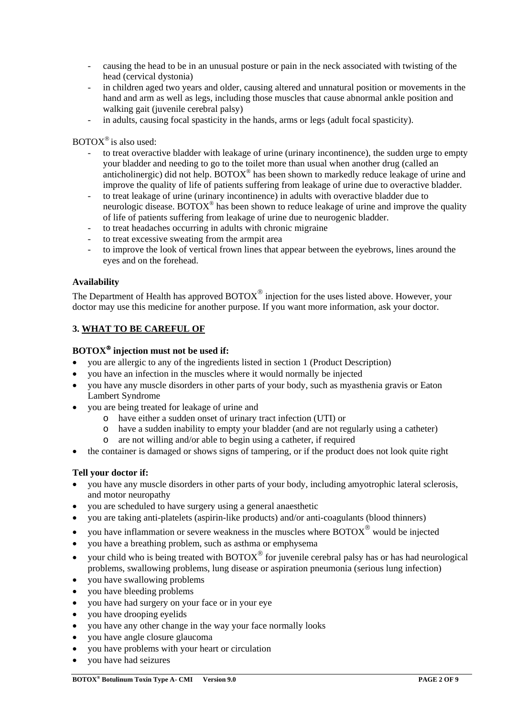- causing the head to be in an unusual posture or pain in the neck associated with twisting of the head (cervical dystonia)
- in children aged two years and older, causing altered and unnatural position or movements in the hand and arm as well as legs, including those muscles that cause abnormal ankle position and walking gait (juvenile cerebral palsy)
- in adults, causing focal spasticity in the hands, arms or legs (adult focal spasticity).

 $BOTOX^{\circledast}$  is also used:

- to treat overactive bladder with leakage of urine (urinary incontinence), the sudden urge to empty your bladder and needing to go to the toilet more than usual when another drug (called an anticholinergic) did not help.  $BOTOX^{\circledcirc}$  has been shown to markedly reduce leakage of urine and improve the quality of life of patients suffering from leakage of urine due to overactive bladder.
- to treat leakage of urine (urinary incontinence) in adults with overactive bladder due to neurologic disease. BOTOX<sup>®</sup> has been shown to reduce leakage of urine and improve the quality of life of patients suffering from leakage of urine due to neurogenic bladder.
- to treat headaches occurring in adults with chronic migraine
- to treat excessive sweating from the armpit area
- to improve the look of vertical frown lines that appear between the eyebrows, lines around the eyes and on the forehead.

## **Availability**

The Department of Health has approved  $BOTOX^{\circledast}$  injection for the uses listed above. However, your doctor may use this medicine for another purpose. If you want more information, ask your doctor.

## **3. WHAT TO BE CAREFUL OF**

## **BOTOX injection must not be used if:**

- you are allergic to any of the ingredients listed in section 1 (Product Description)
- you have an infection in the muscles where it would normally be injected
- you have any muscle disorders in other parts of your body, such as myasthenia gravis or Eaton Lambert Syndrome
- you are being treated for leakage of urine and
	- o have either a sudden onset of urinary tract infection (UTI) or
	- o have a sudden inability to empty your bladder (and are not regularly using a catheter)
	- o are not willing and/or able to begin using a catheter, if required
- the container is damaged or shows signs of tampering, or if the product does not look quite right

#### **Tell your doctor if:**

- you have any muscle disorders in other parts of your body, including amyotrophic lateral sclerosis, and motor neuropathy
- you are scheduled to have surgery using a general anaesthetic
- you are taking anti-platelets (aspirin-like products) and/or anti-coagulants (blood thinners)
- you have inflammation or severe weakness in the muscles where  $\text{BOTOX}^\circledast$  would be injected
- you have a breathing problem, such as asthma or emphysema
- your child who is being treated with  $BOTOX^{\circledast}$  for juvenile cerebral palsy has or has had neurological problems, swallowing problems, lung disease or aspiration pneumonia (serious lung infection)
- you have swallowing problems
- you have bleeding problems
- you have had surgery on your face or in your eye
- you have drooping eyelids
- you have any other change in the way your face normally looks
- you have angle closure glaucoma
- you have problems with your heart or circulation
- you have had seizures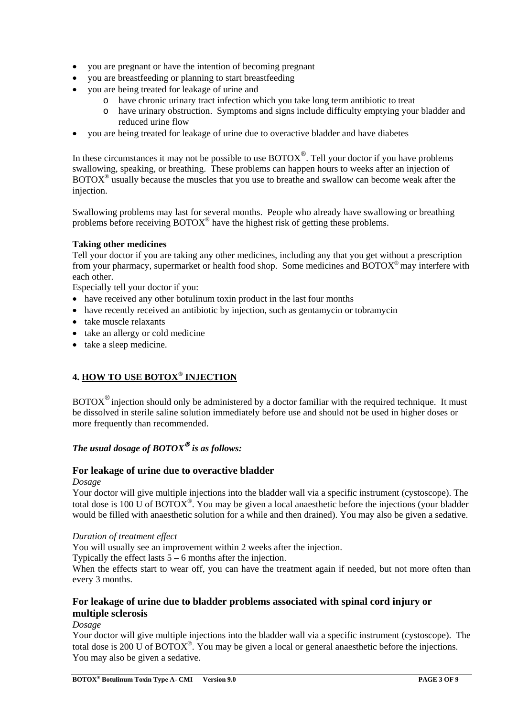- you are pregnant or have the intention of becoming pregnant
- you are breastfeeding or planning to start breastfeeding
- you are being treated for leakage of urine and
	- o have chronic urinary tract infection which you take long term antibiotic to treat
	- o have urinary obstruction. Symptoms and signs include difficulty emptying your bladder and reduced urine flow
- you are being treated for leakage of urine due to overactive bladder and have diabetes

In these circumstances it may not be possible to use  $\text{BOTOX}^{\circledast}$ . Tell your doctor if you have problems swallowing, speaking, or breathing. These problems can happen hours to weeks after an injection of  $BOTOX^{\circledast}$  usually because the muscles that you use to breathe and swallow can become weak after the injection.

Swallowing problems may last for several months. People who already have swallowing or breathing problems before receiving  $BOTOX^{\circledcirc}$  have the highest risk of getting these problems.

## **Taking other medicines**

Tell your doctor if you are taking any other medicines, including any that you get without a prescription from your pharmacy, supermarket or health food shop. Some medicines and BOTOX® may interfere with each other.

Especially tell your doctor if you:

- have received any other botulinum toxin product in the last four months
- have recently received an antibiotic by injection, such as gentamycin or tobramycin
- take muscle relaxants
- take an allergy or cold medicine
- take a sleep medicine.

## **4. HOW TO USE BOTOX® INJECTION**

 $BOTOX^{\circledast}$  injection should only be administered by a doctor familiar with the required technique. It must be dissolved in sterile saline solution immediately before use and should not be used in higher doses or more frequently than recommended.

# *The usual dosage of BOTOX is as follows:*

## **For leakage of urine due to overactive bladder**

#### *Dosage*

Your doctor will give multiple injections into the bladder wall via a specific instrument (cystoscope). The total dose is 100 U of  $BOTOX^{\circledast}$ . You may be given a local anaesthetic before the injections (your bladder would be filled with anaesthetic solution for a while and then drained). You may also be given a sedative.

#### *Duration of treatment effect*

You will usually see an improvement within 2 weeks after the injection.

Typically the effect lasts  $5 - 6$  months after the injection.

When the effects start to wear off, you can have the treatment again if needed, but not more often than every 3 months.

## **For leakage of urine due to bladder problems associated with spinal cord injury or multiple sclerosis**

*Dosage* 

Your doctor will give multiple injections into the bladder wall via a specific instrument (cystoscope). The total dose is 200 U of  $BOTOX^{\circledcirc}$ . You may be given a local or general anaesthetic before the injections. You may also be given a sedative.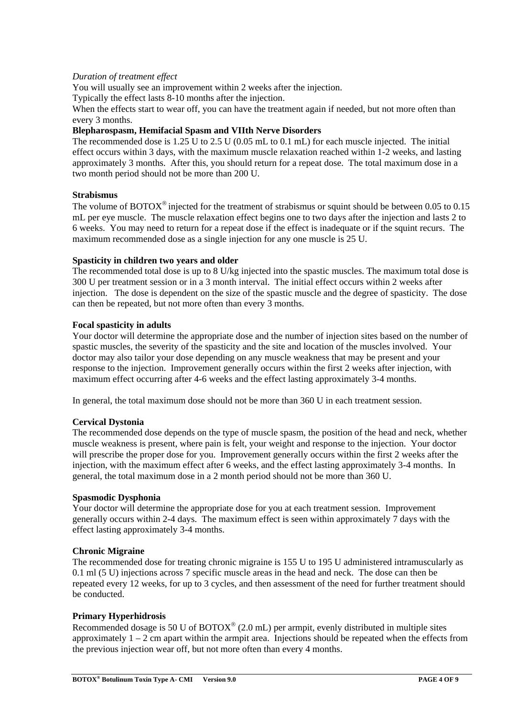## *Duration of treatment effect*

You will usually see an improvement within 2 weeks after the injection.

Typically the effect lasts 8-10 months after the injection.

When the effects start to wear off, you can have the treatment again if needed, but not more often than every 3 months.

## **Blepharospasm, Hemifacial Spasm and VIIth Nerve Disorders**

The recommended dose is 1.25 U to 2.5 U (0.05 mL to 0.1 mL) for each muscle injected. The initial effect occurs within 3 days, with the maximum muscle relaxation reached within 1-2 weeks, and lasting approximately 3 months. After this, you should return for a repeat dose. The total maximum dose in a two month period should not be more than 200 U.

## **Strabismus**

The volume of BOTOX<sup>®</sup> injected for the treatment of strabismus or squint should be between 0.05 to 0.15 mL per eye muscle. The muscle relaxation effect begins one to two days after the injection and lasts 2 to 6 weeks. You may need to return for a repeat dose if the effect is inadequate or if the squint recurs. The maximum recommended dose as a single injection for any one muscle is 25 U.

## **Spasticity in children two years and older**

The recommended total dose is up to 8 U/kg injected into the spastic muscles. The maximum total dose is 300 U per treatment session or in a 3 month interval. The initial effect occurs within 2 weeks after injection. The dose is dependent on the size of the spastic muscle and the degree of spasticity. The dose can then be repeated, but not more often than every 3 months.

## **Focal spasticity in adults**

Your doctor will determine the appropriate dose and the number of injection sites based on the number of spastic muscles, the severity of the spasticity and the site and location of the muscles involved. Your doctor may also tailor your dose depending on any muscle weakness that may be present and your response to the injection. Improvement generally occurs within the first 2 weeks after injection, with maximum effect occurring after 4-6 weeks and the effect lasting approximately 3-4 months.

In general, the total maximum dose should not be more than 360 U in each treatment session.

#### **Cervical Dystonia**

The recommended dose depends on the type of muscle spasm, the position of the head and neck, whether muscle weakness is present, where pain is felt, your weight and response to the injection. Your doctor will prescribe the proper dose for you. Improvement generally occurs within the first 2 weeks after the injection, with the maximum effect after 6 weeks, and the effect lasting approximately 3-4 months. In general, the total maximum dose in a 2 month period should not be more than 360 U.

#### **Spasmodic Dysphonia**

Your doctor will determine the appropriate dose for you at each treatment session. Improvement generally occurs within 2-4 days. The maximum effect is seen within approximately 7 days with the effect lasting approximately 3-4 months.

#### **Chronic Migraine**

The recommended dose for treating chronic migraine is 155 U to 195 U administered intramuscularly as 0.1 ml (5 U) injections across 7 specific muscle areas in the head and neck. The dose can then be repeated every 12 weeks, for up to 3 cycles, and then assessment of the need for further treatment should be conducted.

#### **Primary Hyperhidrosis**

Recommended dosage is 50 U of  $BOTOX^{\circledast}$  (2.0 mL) per armpit, evenly distributed in multiple sites approximately  $1 - 2$  cm apart within the armpit area. Injections should be repeated when the effects from the previous injection wear off, but not more often than every 4 months.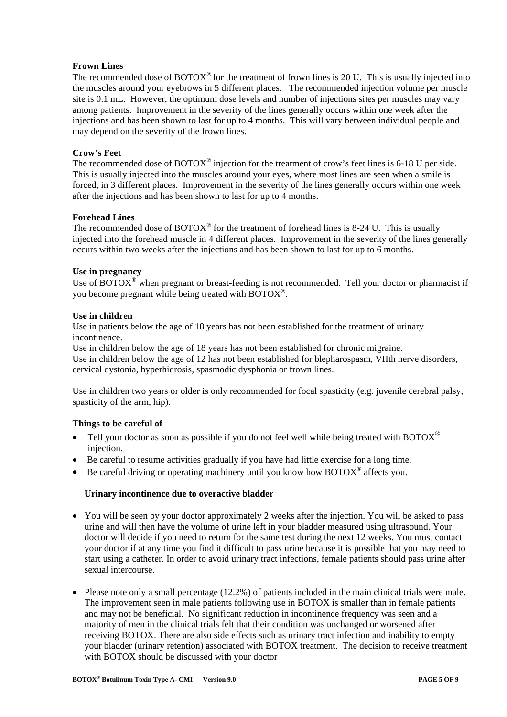## **Frown Lines**

The recommended dose of  $BOTOX^{\circledcirc}$  for the treatment of frown lines is 20 U. This is usually injected into the muscles around your eyebrows in 5 different places. The recommended injection volume per muscle site is 0.1 mL. However, the optimum dose levels and number of injections sites per muscles may vary among patients. Improvement in the severity of the lines generally occurs within one week after the injections and has been shown to last for up to 4 months. This will vary between individual people and may depend on the severity of the frown lines.

## **Crow's Feet**

The recommended dose of BOTOX<sup>®</sup> injection for the treatment of crow's feet lines is 6-18 U per side. This is usually injected into the muscles around your eyes, where most lines are seen when a smile is forced, in 3 different places. Improvement in the severity of the lines generally occurs within one week after the injections and has been shown to last for up to 4 months.

## **Forehead Lines**

The recommended dose of  $BOTOX^{\circledcirc}$  for the treatment of forehead lines is 8-24 U. This is usually injected into the forehead muscle in 4 different places. Improvement in the severity of the lines generally occurs within two weeks after the injections and has been shown to last for up to 6 months.

## **Use in pregnancy**

Use of BOTOX $^{\circ}$  when pregnant or breast-feeding is not recommended. Tell your doctor or pharmacist if you become pregnant while being treated with BOTOX<sup>®</sup>.

## **Use in children**

Use in patients below the age of 18 years has not been established for the treatment of urinary incontinence.

Use in children below the age of 18 years has not been established for chronic migraine.

Use in children below the age of 12 has not been established for blepharospasm, VIIth nerve disorders, cervical dystonia, hyperhidrosis, spasmodic dysphonia or frown lines.

Use in children two years or older is only recommended for focal spasticity (e.g. juvenile cerebral palsy, spasticity of the arm, hip).

## **Things to be careful of**

- Tell your doctor as soon as possible if you do not feel well while being treated with BOTOX<sup>®</sup> injection.
- Be careful to resume activities gradually if you have had little exercise for a long time.
- Be careful driving or operating machinery until you know how  $BOTOX^{\circledcirc}$  affects you.

## **Urinary incontinence due to overactive bladder**

- You will be seen by your doctor approximately 2 weeks after the injection. You will be asked to pass urine and will then have the volume of urine left in your bladder measured using ultrasound. Your doctor will decide if you need to return for the same test during the next 12 weeks. You must contact your doctor if at any time you find it difficult to pass urine because it is possible that you may need to start using a catheter. In order to avoid urinary tract infections, female patients should pass urine after sexual intercourse.
- $\bullet$  Please note only a small percentage (12.2%) of patients included in the main clinical trials were male. The improvement seen in male patients following use in BOTOX is smaller than in female patients and may not be beneficial. No significant reduction in incontinence frequency was seen and a majority of men in the clinical trials felt that their condition was unchanged or worsened after receiving BOTOX. There are also side effects such as urinary tract infection and inability to empty your bladder (urinary retention) associated with BOTOX treatment. The decision to receive treatment with BOTOX should be discussed with your doctor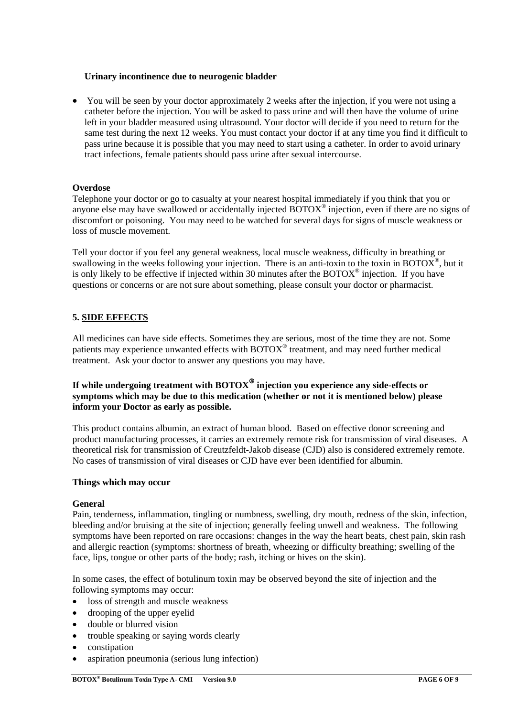## **Urinary incontinence due to neurogenic bladder**

• You will be seen by your doctor approximately 2 weeks after the injection, if you were not using a catheter before the injection. You will be asked to pass urine and will then have the volume of urine left in your bladder measured using ultrasound. Your doctor will decide if you need to return for the same test during the next 12 weeks. You must contact your doctor if at any time you find it difficult to pass urine because it is possible that you may need to start using a catheter. In order to avoid urinary tract infections, female patients should pass urine after sexual intercourse.

## **Overdose**

Telephone your doctor or go to casualty at your nearest hospital immediately if you think that you or anyone else may have swallowed or accidentally injected BOTOX® injection, even if there are no signs of discomfort or poisoning. You may need to be watched for several days for signs of muscle weakness or loss of muscle movement.

Tell your doctor if you feel any general weakness, local muscle weakness, difficulty in breathing or swallowing in the weeks following your injection. There is an anti-toxin to the toxin in BOTO $\overline{X}^{\mathbb{D}}$ , but it is only likely to be effective if injected within 30 minutes after the BOTOX® injection. If you have questions or concerns or are not sure about something, please consult your doctor or pharmacist.

## **5. SIDE EFFECTS**

All medicines can have side effects. Sometimes they are serious, most of the time they are not. Some patients may experience unwanted effects with  $\overline{BOTOX}^{\circledast}$  treatment, and may need further medical treatment. Ask your doctor to answer any questions you may have.

## If while undergoing treatment with BOTOX<sup>®</sup> injection you experience any side-effects or **symptoms which may be due to this medication (whether or not it is mentioned below) please inform your Doctor as early as possible.**

This product contains albumin, an extract of human blood. Based on effective donor screening and product manufacturing processes, it carries an extremely remote risk for transmission of viral diseases. A theoretical risk for transmission of Creutzfeldt-Jakob disease (CJD) also is considered extremely remote. No cases of transmission of viral diseases or CJD have ever been identified for albumin.

#### **Things which may occur**

#### **General**

Pain, tenderness, inflammation, tingling or numbness, swelling, dry mouth, redness of the skin, infection, bleeding and/or bruising at the site of injection; generally feeling unwell and weakness. The following symptoms have been reported on rare occasions: changes in the way the heart beats, chest pain, skin rash and allergic reaction (symptoms: shortness of breath, wheezing or difficulty breathing; swelling of the face, lips, tongue or other parts of the body; rash, itching or hives on the skin).

In some cases, the effect of botulinum toxin may be observed beyond the site of injection and the following symptoms may occur:

- loss of strength and muscle weakness
- drooping of the upper eyelid
- double or blurred vision
- trouble speaking or saying words clearly
- constipation
- aspiration pneumonia (serious lung infection)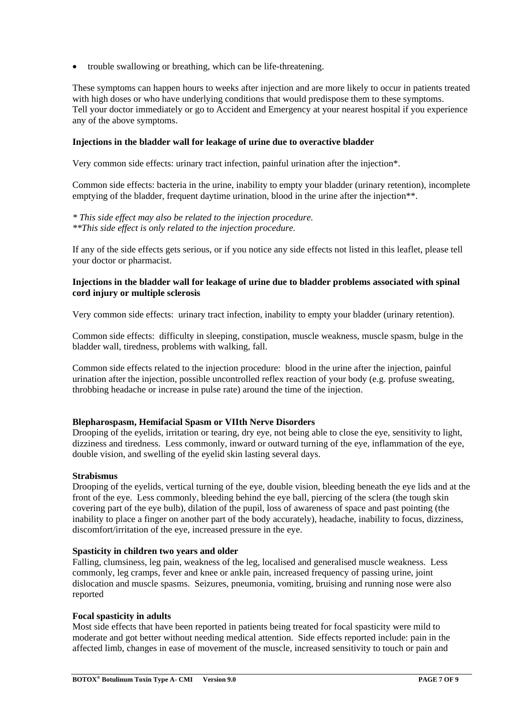trouble swallowing or breathing, which can be life-threatening.

These symptoms can happen hours to weeks after injection and are more likely to occur in patients treated with high doses or who have underlying conditions that would predispose them to these symptoms. Tell your doctor immediately or go to Accident and Emergency at your nearest hospital if you experience any of the above symptoms.

#### **Injections in the bladder wall for leakage of urine due to overactive bladder**

Very common side effects: urinary tract infection, painful urination after the injection\*.

Common side effects: bacteria in the urine, inability to empty your bladder (urinary retention), incomplete emptying of the bladder, frequent daytime urination, blood in the urine after the injection\*\*.

*\* This side effect may also be related to the injection procedure. \*\*This side effect is only related to the injection procedure.* 

If any of the side effects gets serious, or if you notice any side effects not listed in this leaflet, please tell your doctor or pharmacist.

#### **Injections in the bladder wall for leakage of urine due to bladder problems associated with spinal cord injury or multiple sclerosis**

Very common side effects: urinary tract infection, inability to empty your bladder (urinary retention).

Common side effects: difficulty in sleeping, constipation, muscle weakness, muscle spasm, bulge in the bladder wall, tiredness, problems with walking, fall.

Common side effects related to the injection procedure: blood in the urine after the injection, painful urination after the injection, possible uncontrolled reflex reaction of your body (e.g. profuse sweating, throbbing headache or increase in pulse rate) around the time of the injection.

#### **Blepharospasm, Hemifacial Spasm or VIIth Nerve Disorders**

Drooping of the eyelids, irritation or tearing, dry eye, not being able to close the eye, sensitivity to light, dizziness and tiredness. Less commonly, inward or outward turning of the eye, inflammation of the eye, double vision, and swelling of the eyelid skin lasting several days.

#### **Strabismus**

Drooping of the eyelids, vertical turning of the eye, double vision, bleeding beneath the eye lids and at the front of the eye. Less commonly, bleeding behind the eye ball, piercing of the sclera (the tough skin covering part of the eye bulb), dilation of the pupil, loss of awareness of space and past pointing (the inability to place a finger on another part of the body accurately), headache, inability to focus, dizziness, discomfort/irritation of the eye, increased pressure in the eye.

#### **Spasticity in children two years and older**

Falling, clumsiness, leg pain, weakness of the leg, localised and generalised muscle weakness. Less commonly, leg cramps, fever and knee or ankle pain, increased frequency of passing urine, joint dislocation and muscle spasms. Seizures, pneumonia, vomiting, bruising and running nose were also reported

#### **Focal spasticity in adults**

Most side effects that have been reported in patients being treated for focal spasticity were mild to moderate and got better without needing medical attention. Side effects reported include: pain in the affected limb, changes in ease of movement of the muscle, increased sensitivity to touch or pain and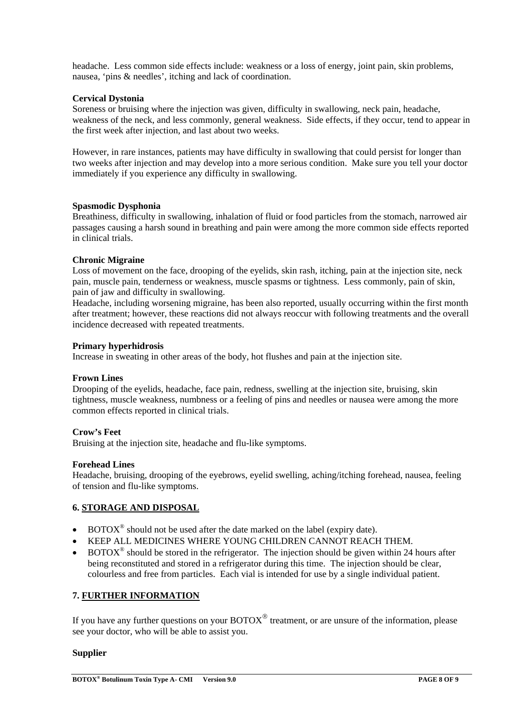headache. Less common side effects include: weakness or a loss of energy, joint pain, skin problems, nausea, 'pins & needles', itching and lack of coordination.

## **Cervical Dystonia**

Soreness or bruising where the injection was given, difficulty in swallowing, neck pain, headache, weakness of the neck, and less commonly, general weakness. Side effects, if they occur, tend to appear in the first week after injection, and last about two weeks.

However, in rare instances, patients may have difficulty in swallowing that could persist for longer than two weeks after injection and may develop into a more serious condition. Make sure you tell your doctor immediately if you experience any difficulty in swallowing.

## **Spasmodic Dysphonia**

Breathiness, difficulty in swallowing, inhalation of fluid or food particles from the stomach, narrowed air passages causing a harsh sound in breathing and pain were among the more common side effects reported in clinical trials.

## **Chronic Migraine**

Loss of movement on the face, drooping of the eyelids, skin rash, itching, pain at the injection site, neck pain, muscle pain, tenderness or weakness, muscle spasms or tightness. Less commonly, pain of skin, pain of jaw and difficulty in swallowing.

Headache, including worsening migraine, has been also reported, usually occurring within the first month after treatment; however, these reactions did not always reoccur with following treatments and the overall incidence decreased with repeated treatments.

#### **Primary hyperhidrosis**

Increase in sweating in other areas of the body, hot flushes and pain at the injection site.

#### **Frown Lines**

Drooping of the eyelids, headache, face pain, redness, swelling at the injection site, bruising, skin tightness, muscle weakness, numbness or a feeling of pins and needles or nausea were among the more common effects reported in clinical trials.

## **Crow's Feet**

Bruising at the injection site, headache and flu-like symptoms.

#### **Forehead Lines**

Headache, bruising, drooping of the eyebrows, eyelid swelling, aching/itching forehead, nausea, feeling of tension and flu-like symptoms.

## **6. STORAGE AND DISPOSAL**

- BOTOX® should not be used after the date marked on the label (expiry date).
- KEEP ALL MEDICINES WHERE YOUNG CHILDREN CANNOT REACH THEM.
- $BOTOX^{\circledcirc}$  should be stored in the refrigerator. The injection should be given within 24 hours after being reconstituted and stored in a refrigerator during this time. The injection should be clear, colourless and free from particles. Each vial is intended for use by a single individual patient.

#### **7. FURTHER INFORMATION**

If you have any further questions on your  $BOTOX^{\circledcirc}$  treatment, or are unsure of the information, please see your doctor, who will be able to assist you.

#### **Supplier**